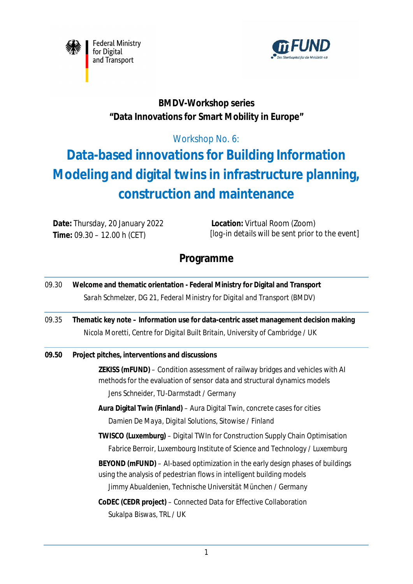



### **BMDV-Workshop series "Data Innovations for Smart Mobility in Europe"**

### Workshop No. 6:

# **Data-based innovations for Building Information Modeling and digital twins in infrastructure planning, construction and maintenance**

**Date:** Thursday, 20 January 2022 **Time:** 09.30 – 12.00 h (CET)

**Location:** Virtual Room (Zoom)  *[log-in details will be sent prior to the event]*

## **Programme**

| 09.30 | Welcome and thematic orientation - Federal Ministry for Digital and Transport<br>Sarah Schmelzer, DG 21, Federal Ministry for Digital and Transport (BMDV)                                          |
|-------|-----------------------------------------------------------------------------------------------------------------------------------------------------------------------------------------------------|
| 09.35 | Thematic key note - Information use for data-centric asset management decision making<br>Nicola Moretti, Centre for Digital Built Britain, University of Cambridge / UK                             |
| 09.50 | Project pitches, interventions and discussions                                                                                                                                                      |
|       | ZEKISS (mFUND) – Condition assessment of railway bridges and vehicles with AI<br>methods for the evaluation of sensor data and structural dynamics models<br>Jens Schneider, TU-Darmstadt / Germany |
|       | Aura Digital Twin (Finland) - Aura Digital Twin, concrete cases for cities<br>Damien De Maya, Digital Solutions, Sitowise / Finland                                                                 |
|       | TWISCO (Luxemburg) - Digital TWIn for Construction Supply Chain Optimisation<br>Fabrice Berroir, Luxembourg Institute of Science and Technology / Luxemburg                                         |
|       | BEYOND (mFUND) – Al-based optimization in the early design phases of buildings<br>using the analysis of pedestrian flows in intelligent building models                                             |
|       | Jimmy Abualdenien, Technische Universität München / Germany                                                                                                                                         |
|       | CoDEC (CEDR project) - Connected Data for Effective Collaboration<br>Sukalpa Biswas, TRL / UK                                                                                                       |